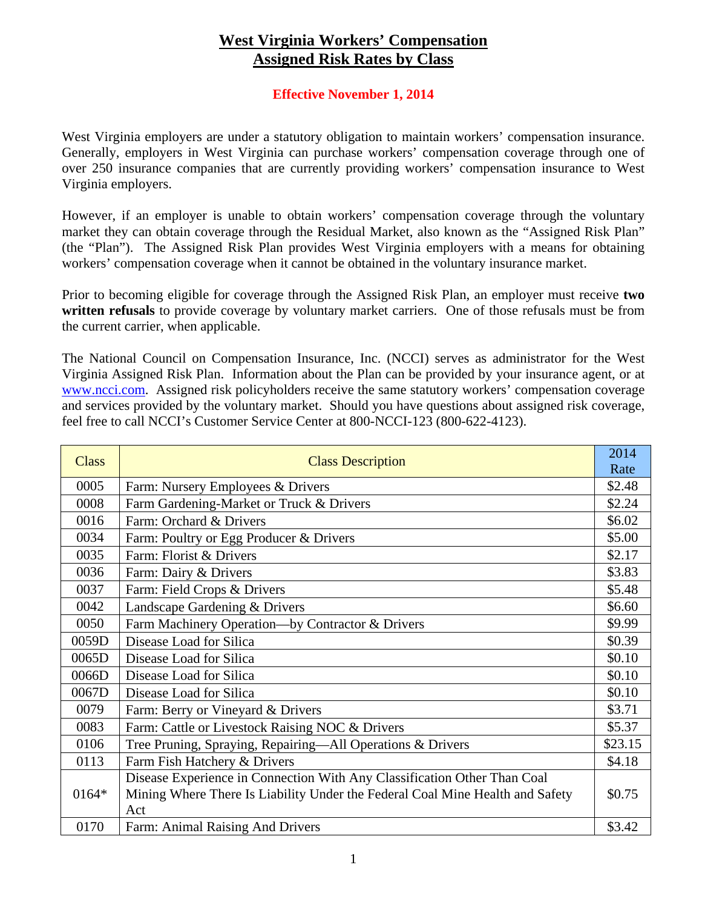## **West Virginia Workers' Compensation Assigned Risk Rates by Class**

## **Effective November 1, 2014**

West Virginia employers are under a statutory obligation to maintain workers' compensation insurance. Generally, employers in West Virginia can purchase workers' compensation coverage through one of over 250 insurance companies that are currently providing workers' compensation insurance to West Virginia employers.

However, if an employer is unable to obtain workers' compensation coverage through the voluntary market they can obtain coverage through the Residual Market, also known as the "Assigned Risk Plan" (the "Plan"). The Assigned Risk Plan provides West Virginia employers with a means for obtaining workers' compensation coverage when it cannot be obtained in the voluntary insurance market.

Prior to becoming eligible for coverage through the Assigned Risk Plan, an employer must receive **two written refusals** to provide coverage by voluntary market carriers. One of those refusals must be from the current carrier, when applicable.

The National Council on Compensation Insurance, Inc. (NCCI) serves as administrator for the West Virginia Assigned Risk Plan. Information about the Plan can be provided by your insurance agent, or at www.ncci.com. Assigned risk policyholders receive the same statutory workers' compensation coverage and services provided by the voluntary market. Should you have questions about assigned risk coverage, feel free to call NCCI's Customer Service Center at 800-NCCI-123 (800-622-4123).

| <b>Class</b> | <b>Class Description</b>                                                      | 2014<br>Rate |
|--------------|-------------------------------------------------------------------------------|--------------|
| 0005         | Farm: Nursery Employees & Drivers                                             | \$2.48       |
| 0008         | Farm Gardening-Market or Truck & Drivers                                      | \$2.24       |
| 0016         | Farm: Orchard & Drivers                                                       | \$6.02       |
| 0034         | Farm: Poultry or Egg Producer & Drivers                                       | \$5.00       |
| 0035         | Farm: Florist & Drivers                                                       | \$2.17       |
| 0036         | Farm: Dairy & Drivers                                                         | \$3.83       |
| 0037         | Farm: Field Crops & Drivers                                                   | \$5.48       |
| 0042         | Landscape Gardening & Drivers                                                 | \$6.60       |
| 0050         | Farm Machinery Operation-by Contractor & Drivers                              | \$9.99       |
| 0059D        | Disease Load for Silica                                                       | \$0.39       |
| 0065D        | Disease Load for Silica                                                       | \$0.10       |
| 0066D        | Disease Load for Silica                                                       | \$0.10       |
| 0067D        | Disease Load for Silica                                                       | \$0.10       |
| 0079         | Farm: Berry or Vineyard & Drivers                                             | \$3.71       |
| 0083         | Farm: Cattle or Livestock Raising NOC & Drivers                               | \$5.37       |
| 0106         | Tree Pruning, Spraying, Repairing-All Operations & Drivers                    | \$23.15      |
| 0113         | Farm Fish Hatchery & Drivers                                                  | \$4.18       |
|              | Disease Experience in Connection With Any Classification Other Than Coal      |              |
| 0164*        | Mining Where There Is Liability Under the Federal Coal Mine Health and Safety | \$0.75       |
|              | Act                                                                           |              |
| 0170         | Farm: Animal Raising And Drivers                                              | \$3.42       |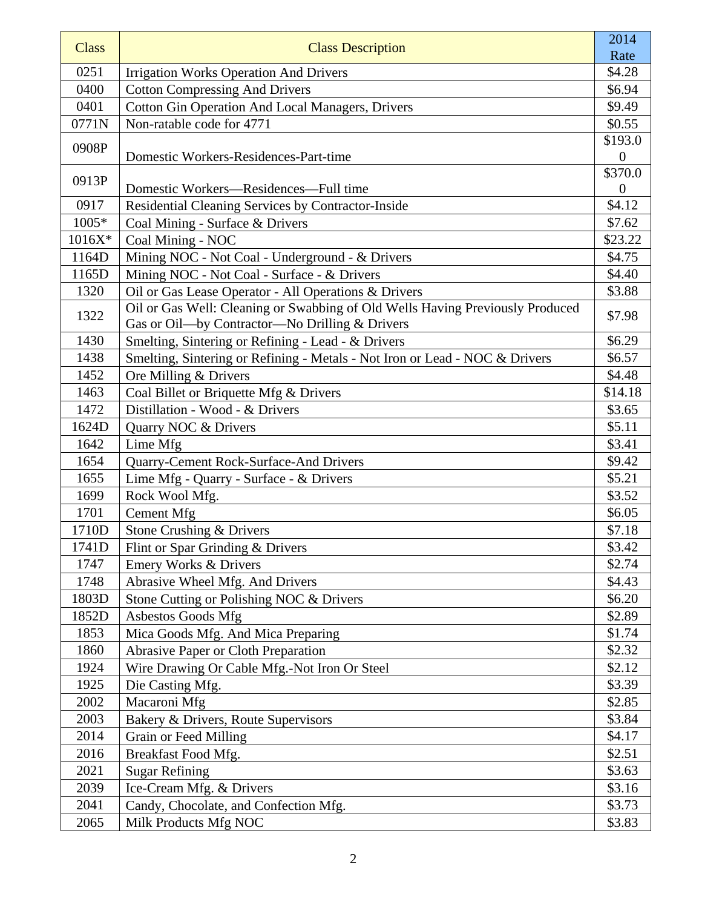| <b>Class</b> | <b>Class Description</b>                                                                                                        | 2014                        |
|--------------|---------------------------------------------------------------------------------------------------------------------------------|-----------------------------|
|              |                                                                                                                                 | Rate                        |
| 0251         | <b>Irrigation Works Operation And Drivers</b>                                                                                   | \$4.28                      |
| 0400         | <b>Cotton Compressing And Drivers</b>                                                                                           | \$6.94                      |
| 0401         | <b>Cotton Gin Operation And Local Managers, Drivers</b>                                                                         | \$9.49                      |
| 0771N        | Non-ratable code for 4771                                                                                                       | \$0.55                      |
| 0908P        | Domestic Workers-Residences-Part-time                                                                                           | \$193.0<br>$\boldsymbol{0}$ |
| 0913P        | Domestic Workers-Residences-Full time                                                                                           | \$370.0<br>$\overline{0}$   |
| 0917         | Residential Cleaning Services by Contractor-Inside                                                                              | \$4.12                      |
| 1005*        | Coal Mining - Surface & Drivers                                                                                                 | \$7.62                      |
| $1016X*$     | Coal Mining - NOC                                                                                                               | \$23.22                     |
| 1164D        | Mining NOC - Not Coal - Underground - & Drivers                                                                                 | \$4.75                      |
| 1165D        | Mining NOC - Not Coal - Surface - & Drivers                                                                                     | \$4.40                      |
| 1320         | Oil or Gas Lease Operator - All Operations & Drivers                                                                            | \$3.88                      |
| 1322         | Oil or Gas Well: Cleaning or Swabbing of Old Wells Having Previously Produced<br>Gas or Oil-by Contractor-No Drilling & Drivers | \$7.98                      |
| 1430         | Smelting, Sintering or Refining - Lead - & Drivers                                                                              | \$6.29                      |
| 1438         | Smelting, Sintering or Refining - Metals - Not Iron or Lead - NOC & Drivers                                                     | \$6.57                      |
| 1452         | Ore Milling & Drivers                                                                                                           | \$4.48                      |
| 1463         | Coal Billet or Briquette Mfg & Drivers                                                                                          | \$14.18                     |
| 1472         | Distillation - Wood - & Drivers                                                                                                 | \$3.65                      |
| 1624D        | Quarry NOC & Drivers                                                                                                            | \$5.11                      |
| 1642         | Lime Mfg                                                                                                                        | \$3.41                      |
| 1654         | Quarry-Cement Rock-Surface-And Drivers                                                                                          | \$9.42                      |
| 1655         | Lime Mfg - Quarry - Surface - & Drivers                                                                                         | \$5.21                      |
| 1699         | Rock Wool Mfg.                                                                                                                  | \$3.52                      |
| 1701         | Cement Mfg                                                                                                                      | \$6.05                      |
| 1710D        | Stone Crushing & Drivers                                                                                                        | \$7.18                      |
| 1741D        | Flint or Spar Grinding & Drivers                                                                                                | \$3.42                      |
| 1747         | Emery Works & Drivers                                                                                                           | \$2.74                      |
| 1748         | Abrasive Wheel Mfg. And Drivers                                                                                                 | \$4.43                      |
| 1803D        | Stone Cutting or Polishing NOC & Drivers                                                                                        | \$6.20                      |
| 1852D        | <b>Asbestos Goods Mfg</b>                                                                                                       | \$2.89                      |
| 1853         | Mica Goods Mfg. And Mica Preparing                                                                                              | \$1.74                      |
| 1860         | <b>Abrasive Paper or Cloth Preparation</b>                                                                                      | \$2.32                      |
| 1924         | Wire Drawing Or Cable Mfg.-Not Iron Or Steel                                                                                    | \$2.12                      |
| 1925         | Die Casting Mfg.                                                                                                                | \$3.39                      |
| 2002         | Macaroni Mfg                                                                                                                    | \$2.85                      |
| 2003         | Bakery & Drivers, Route Supervisors                                                                                             | \$3.84                      |
| 2014         | Grain or Feed Milling                                                                                                           | \$4.17                      |
| 2016         | Breakfast Food Mfg.                                                                                                             | \$2.51                      |
| 2021         | <b>Sugar Refining</b>                                                                                                           | \$3.63                      |
| 2039         | Ice-Cream Mfg. & Drivers                                                                                                        | \$3.16                      |
| 2041         | Candy, Chocolate, and Confection Mfg.                                                                                           | \$3.73                      |
| 2065         | Milk Products Mfg NOC                                                                                                           | \$3.83                      |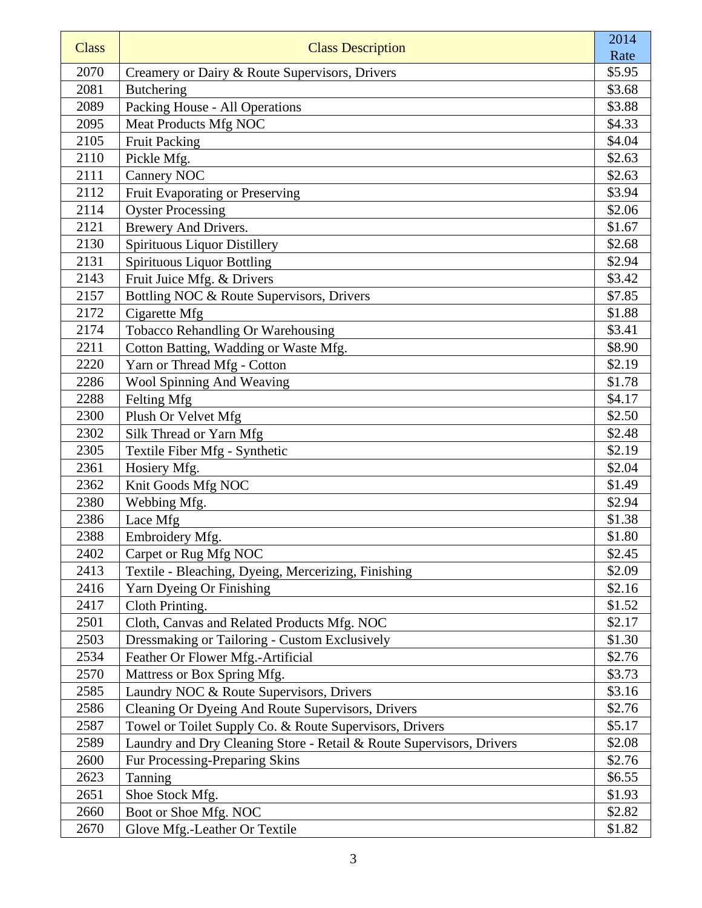| <b>Class</b> | <b>Class Description</b>                                             | 2014             |
|--------------|----------------------------------------------------------------------|------------------|
| 2070         |                                                                      | Rate             |
| 2081         | Creamery or Dairy & Route Supervisors, Drivers                       | \$5.95<br>\$3.68 |
| 2089         | <b>Butchering</b>                                                    | \$3.88           |
| 2095         | Packing House - All Operations<br><b>Meat Products Mfg NOC</b>       | \$4.33           |
| 2105         |                                                                      | \$4.04           |
| 2110         | <b>Fruit Packing</b>                                                 | \$2.63           |
| 2111         | Pickle Mfg.<br><b>Cannery NOC</b>                                    | \$2.63           |
| 2112         | Fruit Evaporating or Preserving                                      | \$3.94           |
| 2114         | <b>Oyster Processing</b>                                             | \$2.06           |
| 2121         | Brewery And Drivers.                                                 | \$1.67           |
| 2130         | Spirituous Liquor Distillery                                         | \$2.68           |
| 2131         | <b>Spirituous Liquor Bottling</b>                                    | \$2.94           |
| 2143         | Fruit Juice Mfg. & Drivers                                           | \$3.42           |
| 2157         | Bottling NOC & Route Supervisors, Drivers                            | \$7.85           |
| 2172         | Cigarette Mfg                                                        | \$1.88           |
| 2174         | Tobacco Rehandling Or Warehousing                                    | \$3.41           |
| 2211         | Cotton Batting, Wadding or Waste Mfg.                                | \$8.90           |
| 2220         | Yarn or Thread Mfg - Cotton                                          | \$2.19           |
| 2286         | Wool Spinning And Weaving                                            | \$1.78           |
| 2288         | Felting Mfg                                                          | \$4.17           |
| 2300         | Plush Or Velvet Mfg                                                  | \$2.50           |
| 2302         | Silk Thread or Yarn Mfg                                              | \$2.48           |
| 2305         | Textile Fiber Mfg - Synthetic                                        | \$2.19           |
| 2361         | Hosiery Mfg.                                                         | \$2.04           |
| 2362         | Knit Goods Mfg NOC                                                   | \$1.49           |
| 2380         | Webbing Mfg.                                                         | \$2.94           |
| 2386         | Lace Mfg                                                             | \$1.38           |
| 2388         | Embroidery Mfg.                                                      | \$1.80           |
| 2402         | Carpet or Rug Mfg NOC                                                | \$2.45           |
| 2413         | Textile - Bleaching, Dyeing, Mercerizing, Finishing                  | \$2.09           |
| 2416         | Yarn Dyeing Or Finishing                                             | \$2.16           |
| 2417         | Cloth Printing.                                                      | \$1.52           |
| 2501         | Cloth, Canvas and Related Products Mfg. NOC                          | \$2.17           |
| 2503         | Dressmaking or Tailoring - Custom Exclusively                        | \$1.30           |
| 2534         | Feather Or Flower Mfg.-Artificial                                    | \$2.76           |
| 2570         | Mattress or Box Spring Mfg.                                          | \$3.73           |
| 2585         | Laundry NOC & Route Supervisors, Drivers                             | \$3.16           |
| 2586         | Cleaning Or Dyeing And Route Supervisors, Drivers                    | \$2.76           |
| 2587         | Towel or Toilet Supply Co. & Route Supervisors, Drivers              | \$5.17           |
| 2589         | Laundry and Dry Cleaning Store - Retail & Route Supervisors, Drivers | \$2.08           |
| 2600         | Fur Processing-Preparing Skins                                       | \$2.76           |
| 2623         | Tanning                                                              | \$6.55           |
| 2651         | Shoe Stock Mfg.                                                      | \$1.93           |
| 2660         | Boot or Shoe Mfg. NOC                                                | \$2.82           |
| 2670         | Glove Mfg.-Leather Or Textile                                        | \$1.82           |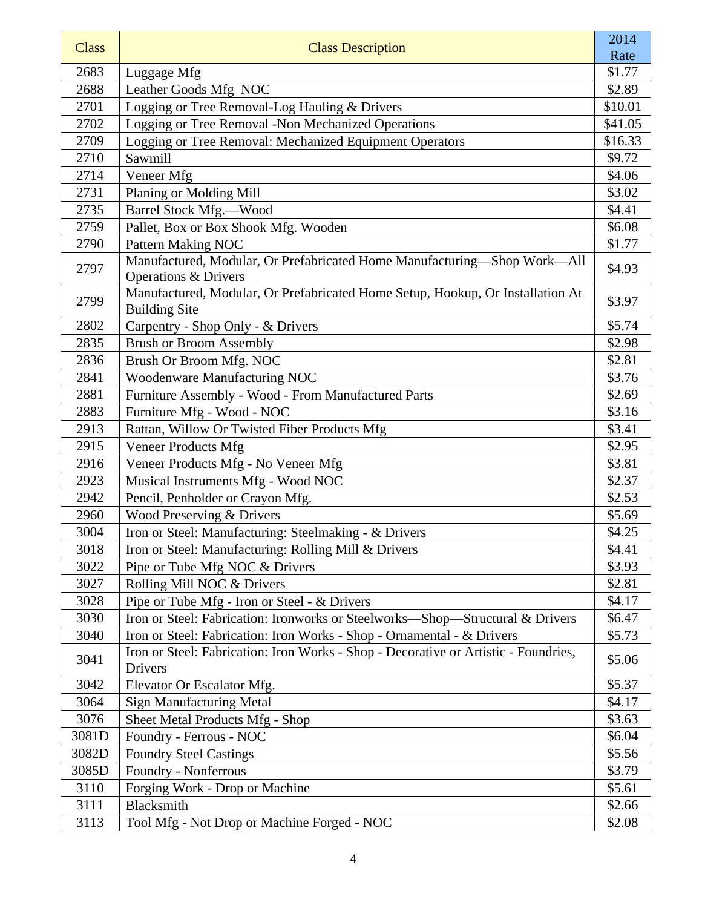| <b>Class</b> | <b>Class Description</b>                                                                                    | 2014    |
|--------------|-------------------------------------------------------------------------------------------------------------|---------|
|              |                                                                                                             | Rate    |
| 2683         | Luggage Mfg                                                                                                 | \$1.77  |
| 2688         | Leather Goods Mfg NOC                                                                                       | \$2.89  |
| 2701         | Logging or Tree Removal-Log Hauling & Drivers                                                               | \$10.01 |
| 2702         | Logging or Tree Removal -Non Mechanized Operations                                                          | \$41.05 |
| 2709         | Logging or Tree Removal: Mechanized Equipment Operators                                                     | \$16.33 |
| 2710         | Sawmill                                                                                                     | \$9.72  |
| 2714         | Veneer Mfg                                                                                                  | \$4.06  |
| 2731         | Planing or Molding Mill                                                                                     | \$3.02  |
| 2735         | Barrel Stock Mfg.-Wood                                                                                      | \$4.41  |
| 2759         | Pallet, Box or Box Shook Mfg. Wooden                                                                        | \$6.08  |
| 2790         | <b>Pattern Making NOC</b>                                                                                   | \$1.77  |
| 2797         | Manufactured, Modular, Or Prefabricated Home Manufacturing-Shop Work-All<br><b>Operations &amp; Drivers</b> | \$4.93  |
| 2799         | Manufactured, Modular, Or Prefabricated Home Setup, Hookup, Or Installation At<br><b>Building Site</b>      | \$3.97  |
| 2802         | Carpentry - Shop Only - & Drivers                                                                           | \$5.74  |
| 2835         | <b>Brush or Broom Assembly</b>                                                                              | \$2.98  |
| 2836         | Brush Or Broom Mfg. NOC                                                                                     | \$2.81  |
| 2841         | Woodenware Manufacturing NOC                                                                                | \$3.76  |
| 2881         | Furniture Assembly - Wood - From Manufactured Parts                                                         | \$2.69  |
| 2883         | Furniture Mfg - Wood - NOC                                                                                  | \$3.16  |
| 2913         | Rattan, Willow Or Twisted Fiber Products Mfg                                                                | \$3.41  |
| 2915         | <b>Veneer Products Mfg</b>                                                                                  | \$2.95  |
| 2916         | Veneer Products Mfg - No Veneer Mfg                                                                         | \$3.81  |
| 2923         | Musical Instruments Mfg - Wood NOC                                                                          | \$2.37  |
| 2942         | Pencil, Penholder or Crayon Mfg.                                                                            | \$2.53  |
| 2960         | Wood Preserving & Drivers                                                                                   | \$5.69  |
| 3004         | Iron or Steel: Manufacturing: Steelmaking - & Drivers                                                       | \$4.25  |
| 3018         | Iron or Steel: Manufacturing: Rolling Mill & Drivers                                                        | \$4.41  |
| 3022         | Pipe or Tube Mfg NOC & Drivers                                                                              | \$3.93  |
| 3027         | Rolling Mill NOC & Drivers                                                                                  | \$2.81  |
| 3028         | Pipe or Tube Mfg - Iron or Steel - & Drivers                                                                | \$4.17  |
| 3030         | Iron or Steel: Fabrication: Ironworks or Steelworks—Shop—Structural & Drivers                               | \$6.47  |
| 3040         | Iron or Steel: Fabrication: Iron Works - Shop - Ornamental - & Drivers                                      | \$5.73  |
| 3041         | Iron or Steel: Fabrication: Iron Works - Shop - Decorative or Artistic - Foundries,<br>Drivers              | \$5.06  |
| 3042         | Elevator Or Escalator Mfg.                                                                                  | \$5.37  |
| 3064         | <b>Sign Manufacturing Metal</b>                                                                             | \$4.17  |
| 3076         | Sheet Metal Products Mfg - Shop                                                                             | \$3.63  |
| 3081D        | Foundry - Ferrous - NOC                                                                                     | \$6.04  |
| 3082D        | <b>Foundry Steel Castings</b>                                                                               | \$5.56  |
| 3085D        | Foundry - Nonferrous                                                                                        | \$3.79  |
| 3110         | Forging Work - Drop or Machine                                                                              | \$5.61  |
| 3111         | Blacksmith                                                                                                  | \$2.66  |
| 3113         | Tool Mfg - Not Drop or Machine Forged - NOC                                                                 | \$2.08  |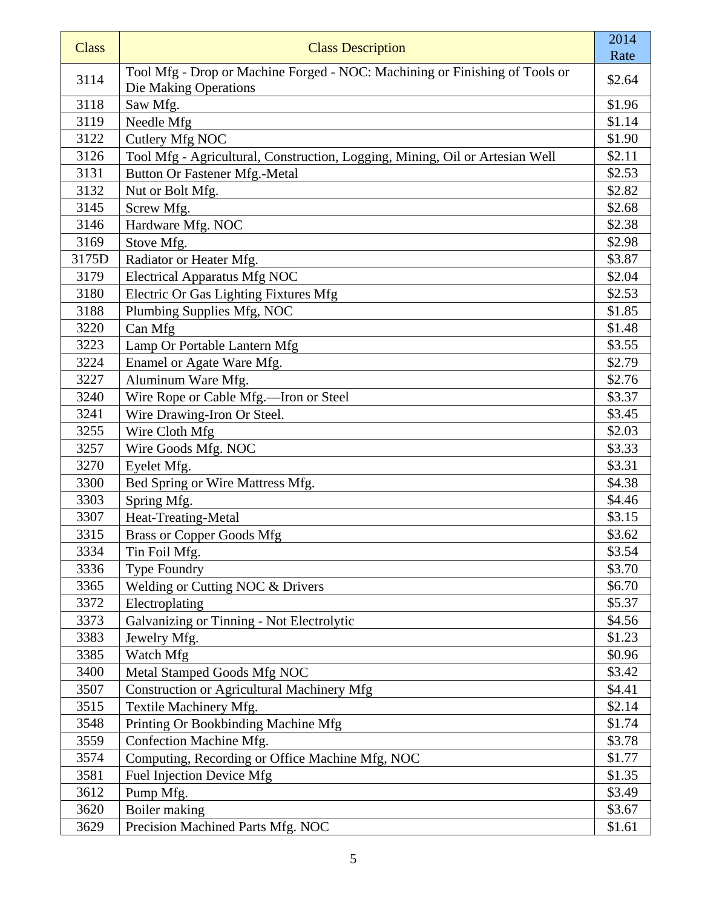| <b>Class</b> | <b>Class Description</b>                                                     | 2014<br>Rate     |
|--------------|------------------------------------------------------------------------------|------------------|
| 3114         | Tool Mfg - Drop or Machine Forged - NOC: Machining or Finishing of Tools or  | \$2.64           |
|              | Die Making Operations                                                        |                  |
| 3118         | Saw Mfg.                                                                     | \$1.96           |
| 3119         | Needle Mfg                                                                   | \$1.14           |
| 3122         | Cutlery Mfg NOC                                                              | \$1.90           |
| 3126         | Tool Mfg - Agricultural, Construction, Logging, Mining, Oil or Artesian Well | \$2.11           |
| 3131         | <b>Button Or Fastener Mfg.-Metal</b>                                         | \$2.53           |
| 3132         | Nut or Bolt Mfg.                                                             | \$2.82           |
| 3145         | Screw Mfg.                                                                   | \$2.68           |
| 3146         | Hardware Mfg. NOC                                                            | \$2.38           |
| 3169         | Stove Mfg.                                                                   | \$2.98           |
| 3175D        | Radiator or Heater Mfg.                                                      | \$3.87           |
| 3179         | <b>Electrical Apparatus Mfg NOC</b>                                          | \$2.04           |
| 3180         | Electric Or Gas Lighting Fixtures Mfg                                        | \$2.53           |
| 3188         | Plumbing Supplies Mfg, NOC                                                   | \$1.85           |
| 3220         | Can Mfg                                                                      | \$1.48           |
| 3223         | Lamp Or Portable Lantern Mfg                                                 | \$3.55           |
| 3224         | Enamel or Agate Ware Mfg.                                                    | \$2.79           |
| 3227         | Aluminum Ware Mfg.                                                           | \$2.76           |
| 3240         | Wire Rope or Cable Mfg.-Iron or Steel                                        | \$3.37           |
| 3241         | Wire Drawing-Iron Or Steel.                                                  | \$3.45           |
| 3255         | Wire Cloth Mfg                                                               | \$2.03           |
| 3257         | Wire Goods Mfg. NOC                                                          | \$3.33           |
| 3270         | Eyelet Mfg.                                                                  | \$3.31           |
| 3300         | Bed Spring or Wire Mattress Mfg.                                             | \$4.38           |
| 3303         | Spring Mfg.                                                                  | \$4.46           |
| 3307         | Heat-Treating-Metal                                                          | \$3.15           |
| 3315         | <b>Brass or Copper Goods Mfg</b>                                             | \$3.62           |
| 3334         | Tin Foil Mfg.                                                                | \$3.54           |
| 3336         | Type Foundry                                                                 | \$3.70           |
| 3365         | Welding or Cutting NOC & Drivers                                             | \$6.70           |
| 3372         | Electroplating                                                               | \$5.37           |
| 3373         | Galvanizing or Tinning - Not Electrolytic                                    | \$4.56           |
| 3383         | Jewelry Mfg.                                                                 | \$1.23           |
| 3385         | Watch Mfg                                                                    | \$0.96           |
| 3400<br>3507 | Metal Stamped Goods Mfg NOC                                                  | \$3.42<br>\$4.41 |
|              | <b>Construction or Agricultural Machinery Mfg</b>                            |                  |
| 3515<br>3548 | Textile Machinery Mfg.                                                       | \$2.14<br>\$1.74 |
| 3559         | Printing Or Bookbinding Machine Mfg<br>Confection Machine Mfg.               | \$3.78           |
| 3574         | Computing, Recording or Office Machine Mfg, NOC                              | \$1.77           |
| 3581         | Fuel Injection Device Mfg                                                    | \$1.35           |
| 3612         | Pump Mfg.                                                                    | \$3.49           |
| 3620         | Boiler making                                                                | \$3.67           |
| 3629         | Precision Machined Parts Mfg. NOC                                            | \$1.61           |
|              |                                                                              |                  |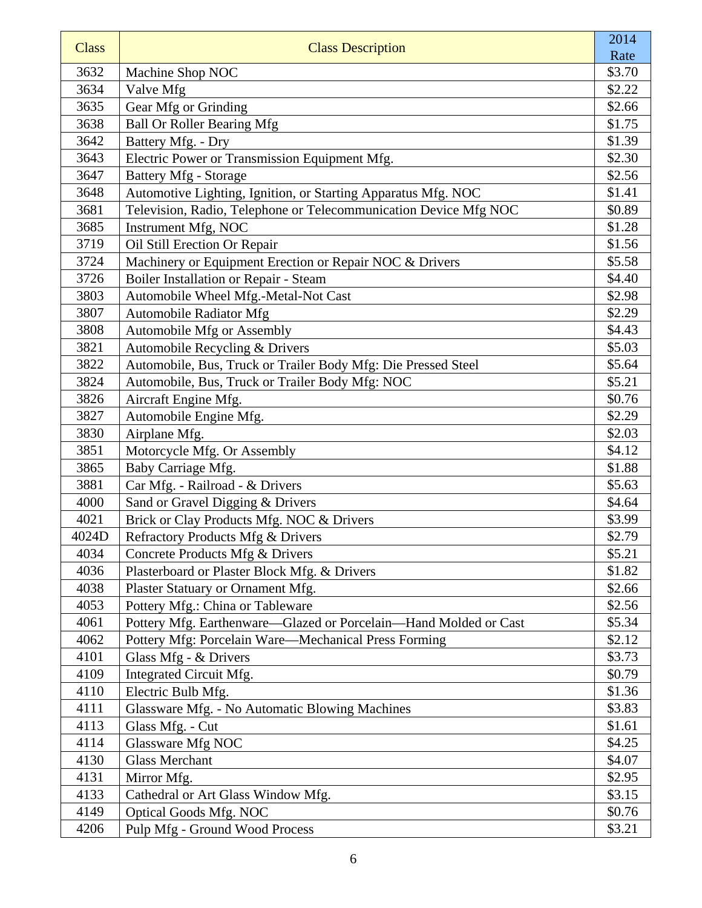| <b>Class</b> | <b>Class Description</b>                                         | 2014   |
|--------------|------------------------------------------------------------------|--------|
|              |                                                                  | Rate   |
| 3632         | Machine Shop NOC                                                 | \$3.70 |
| 3634         | Valve Mfg                                                        | \$2.22 |
| 3635         | Gear Mfg or Grinding                                             | \$2.66 |
| 3638         | <b>Ball Or Roller Bearing Mfg</b>                                | \$1.75 |
| 3642         | Battery Mfg. - Dry                                               | \$1.39 |
| 3643         | Electric Power or Transmission Equipment Mfg.                    | \$2.30 |
| 3647         | <b>Battery Mfg - Storage</b>                                     | \$2.56 |
| 3648         | Automotive Lighting, Ignition, or Starting Apparatus Mfg. NOC    | \$1.41 |
| 3681         | Television, Radio, Telephone or Telecommunication Device Mfg NOC | \$0.89 |
| 3685         | Instrument Mfg, NOC                                              | \$1.28 |
| 3719         | Oil Still Erection Or Repair                                     | \$1.56 |
| 3724         | Machinery or Equipment Erection or Repair NOC & Drivers          | \$5.58 |
| 3726         | Boiler Installation or Repair - Steam                            | \$4.40 |
| 3803         | Automobile Wheel Mfg.-Metal-Not Cast                             | \$2.98 |
| 3807         | <b>Automobile Radiator Mfg</b>                                   | \$2.29 |
| 3808         | Automobile Mfg or Assembly                                       | \$4.43 |
| 3821         | Automobile Recycling & Drivers                                   | \$5.03 |
| 3822         | Automobile, Bus, Truck or Trailer Body Mfg: Die Pressed Steel    | \$5.64 |
| 3824         | Automobile, Bus, Truck or Trailer Body Mfg: NOC                  | \$5.21 |
| 3826         | Aircraft Engine Mfg.                                             | \$0.76 |
| 3827         | Automobile Engine Mfg.                                           | \$2.29 |
| 3830         | Airplane Mfg.                                                    | \$2.03 |
| 3851         | Motorcycle Mfg. Or Assembly                                      | \$4.12 |
| 3865         | Baby Carriage Mfg.                                               | \$1.88 |
| 3881         | Car Mfg. - Railroad - & Drivers                                  | \$5.63 |
| 4000         | Sand or Gravel Digging & Drivers                                 | \$4.64 |
| 4021         | Brick or Clay Products Mfg. NOC & Drivers                        | \$3.99 |
| 4024D        | Refractory Products Mfg & Drivers                                | \$2.79 |
| 4034         | Concrete Products Mfg & Drivers                                  | \$5.21 |
| 4036         | Plasterboard or Plaster Block Mfg. & Drivers                     | \$1.82 |
| 4038         | Plaster Statuary or Ornament Mfg.                                | \$2.66 |
| 4053         | Pottery Mfg.: China or Tableware                                 | \$2.56 |
| 4061         | Pottery Mfg. Earthenware-Glazed or Porcelain-Hand Molded or Cast | \$5.34 |
| 4062         | Pottery Mfg: Porcelain Ware-Mechanical Press Forming             | \$2.12 |
| 4101         | Glass Mfg - & Drivers                                            | \$3.73 |
| 4109         | Integrated Circuit Mfg.                                          | \$0.79 |
| 4110         | Electric Bulb Mfg.                                               | \$1.36 |
| 4111         | Glassware Mfg. - No Automatic Blowing Machines                   | \$3.83 |
| 4113         | Glass Mfg. - Cut                                                 | \$1.61 |
| 4114         | Glassware Mfg NOC                                                | \$4.25 |
| 4130         | <b>Glass Merchant</b>                                            | \$4.07 |
| 4131         | Mirror Mfg.                                                      | \$2.95 |
| 4133         | Cathedral or Art Glass Window Mfg.                               | \$3.15 |
| 4149         | Optical Goods Mfg. NOC                                           | \$0.76 |
| 4206         | Pulp Mfg - Ground Wood Process                                   | \$3.21 |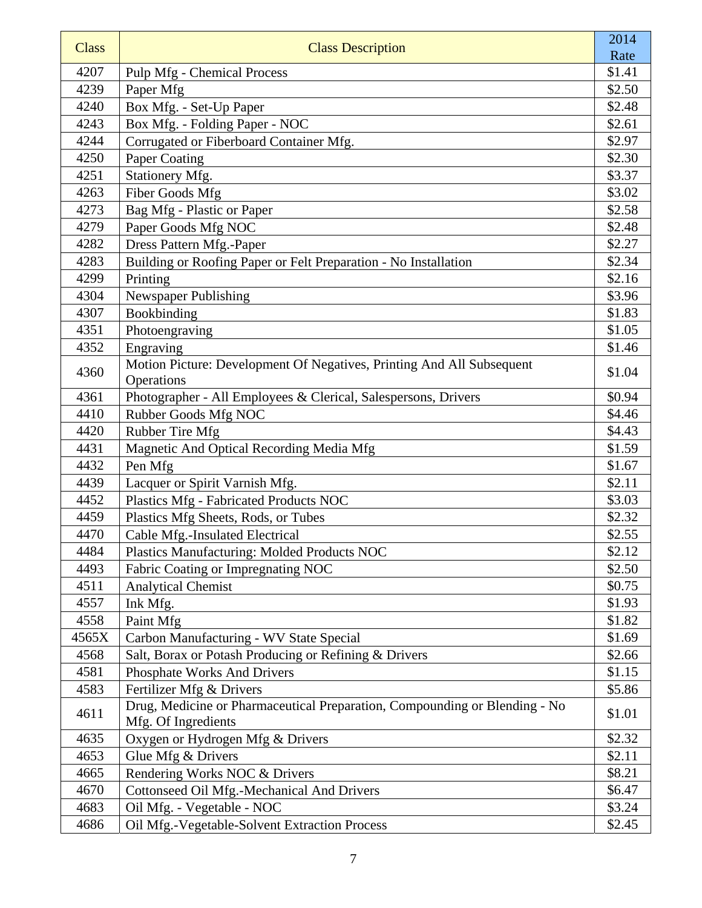| <b>Class</b> | <b>Class Description</b>                                                                          | 2014   |
|--------------|---------------------------------------------------------------------------------------------------|--------|
|              |                                                                                                   | Rate   |
| 4207         | <b>Pulp Mfg - Chemical Process</b>                                                                | \$1.41 |
| 4239         | Paper Mfg                                                                                         | \$2.50 |
| 4240         | Box Mfg. - Set-Up Paper                                                                           | \$2.48 |
| 4243         | Box Mfg. - Folding Paper - NOC                                                                    | \$2.61 |
| 4244         | Corrugated or Fiberboard Container Mfg.                                                           | \$2.97 |
| 4250         | Paper Coating                                                                                     | \$2.30 |
| 4251         | Stationery Mfg.                                                                                   | \$3.37 |
| 4263         | Fiber Goods Mfg                                                                                   | \$3.02 |
| 4273         | Bag Mfg - Plastic or Paper                                                                        | \$2.58 |
| 4279         | Paper Goods Mfg NOC                                                                               | \$2.48 |
| 4282         | Dress Pattern Mfg.-Paper                                                                          | \$2.27 |
| 4283         | Building or Roofing Paper or Felt Preparation - No Installation                                   | \$2.34 |
| 4299         | Printing                                                                                          | \$2.16 |
| 4304         | Newspaper Publishing                                                                              | \$3.96 |
| 4307         | Bookbinding                                                                                       | \$1.83 |
| 4351         | Photoengraving                                                                                    | \$1.05 |
| 4352         | Engraving                                                                                         | \$1.46 |
| 4360         | Motion Picture: Development Of Negatives, Printing And All Subsequent                             | \$1.04 |
|              | Operations                                                                                        |        |
| 4361         | Photographer - All Employees & Clerical, Salespersons, Drivers                                    | \$0.94 |
| 4410         | Rubber Goods Mfg NOC                                                                              | \$4.46 |
| 4420         | Rubber Tire Mfg                                                                                   | \$4.43 |
| 4431         | Magnetic And Optical Recording Media Mfg                                                          | \$1.59 |
| 4432         | Pen Mfg                                                                                           | \$1.67 |
| 4439         | Lacquer or Spirit Varnish Mfg.                                                                    | \$2.11 |
| 4452         | Plastics Mfg - Fabricated Products NOC                                                            | \$3.03 |
| 4459         | Plastics Mfg Sheets, Rods, or Tubes                                                               | \$2.32 |
| 4470         | Cable Mfg.-Insulated Electrical                                                                   | \$2.55 |
| 4484         | Plastics Manufacturing: Molded Products NOC                                                       | \$2.12 |
| 4493         | Fabric Coating or Impregnating NOC                                                                | \$2.50 |
| 4511         | <b>Analytical Chemist</b>                                                                         | \$0.75 |
| 4557         | Ink Mfg.                                                                                          | \$1.93 |
| 4558         | Paint Mfg                                                                                         | \$1.82 |
| 4565X        | Carbon Manufacturing - WV State Special                                                           | \$1.69 |
| 4568         | Salt, Borax or Potash Producing or Refining & Drivers                                             | \$2.66 |
| 4581         | Phosphate Works And Drivers                                                                       | \$1.15 |
| 4583         | Fertilizer Mfg & Drivers                                                                          | \$5.86 |
| 4611         | Drug, Medicine or Pharmaceutical Preparation, Compounding or Blending - No<br>Mfg. Of Ingredients | \$1.01 |
| 4635         | Oxygen or Hydrogen Mfg & Drivers                                                                  | \$2.32 |
| 4653         | Glue Mfg & Drivers                                                                                | \$2.11 |
| 4665         | Rendering Works NOC & Drivers                                                                     | \$8.21 |
| 4670         | Cottonseed Oil Mfg.-Mechanical And Drivers                                                        | \$6.47 |
| 4683         | Oil Mfg. - Vegetable - NOC                                                                        | \$3.24 |
| 4686         | Oil Mfg.-Vegetable-Solvent Extraction Process                                                     | \$2.45 |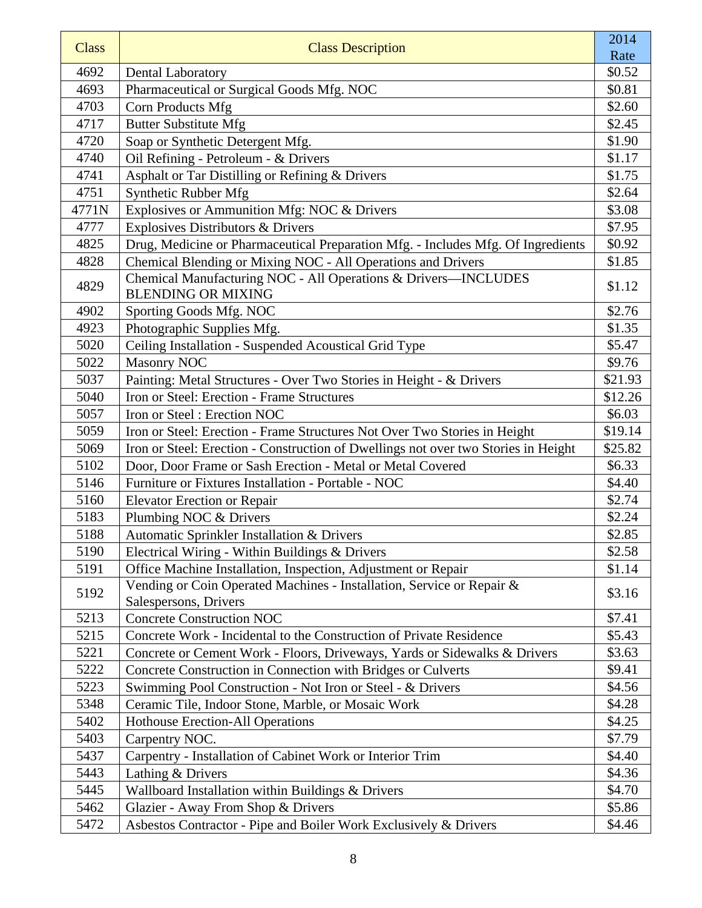| <b>Class</b> | <b>Class Description</b>                                                                       | 2014           |
|--------------|------------------------------------------------------------------------------------------------|----------------|
| 4692         | <b>Dental Laboratory</b>                                                                       | Rate<br>\$0.52 |
| 4693         | Pharmaceutical or Surgical Goods Mfg. NOC                                                      | \$0.81         |
| 4703         | Corn Products Mfg                                                                              | \$2.60         |
| 4717         | <b>Butter Substitute Mfg</b>                                                                   | \$2.45         |
| 4720         | Soap or Synthetic Detergent Mfg.                                                               | \$1.90         |
| 4740         | Oil Refining - Petroleum - & Drivers                                                           | \$1.17         |
| 4741         | Asphalt or Tar Distilling or Refining & Drivers                                                | \$1.75         |
| 4751         | Synthetic Rubber Mfg                                                                           | \$2.64         |
| 4771N        | Explosives or Ammunition Mfg: NOC & Drivers                                                    | \$3.08         |
| 4777         | Explosives Distributors & Drivers                                                              | \$7.95         |
| 4825         | Drug, Medicine or Pharmaceutical Preparation Mfg. - Includes Mfg. Of Ingredients               | \$0.92         |
| 4828         | Chemical Blending or Mixing NOC - All Operations and Drivers                                   | \$1.85         |
| 4829         | Chemical Manufacturing NOC - All Operations & Drivers-INCLUDES<br><b>BLENDING OR MIXING</b>    | \$1.12         |
| 4902         | Sporting Goods Mfg. NOC                                                                        | \$2.76         |
| 4923         |                                                                                                | \$1.35         |
| 5020         | Photographic Supplies Mfg.<br>Ceiling Installation - Suspended Acoustical Grid Type            | \$5.47         |
| 5022         | <b>Masonry NOC</b>                                                                             | \$9.76         |
| 5037         | Painting: Metal Structures - Over Two Stories in Height - & Drivers                            | \$21.93        |
| 5040         | Iron or Steel: Erection - Frame Structures                                                     | \$12.26        |
| 5057         | Iron or Steel: Erection NOC                                                                    | \$6.03         |
| 5059         | Iron or Steel: Erection - Frame Structures Not Over Two Stories in Height                      | \$19.14        |
| 5069         | Iron or Steel: Erection - Construction of Dwellings not over two Stories in Height             | \$25.82        |
| 5102         | Door, Door Frame or Sash Erection - Metal or Metal Covered                                     | \$6.33         |
| 5146         | Furniture or Fixtures Installation - Portable - NOC                                            | \$4.40         |
| 5160         | <b>Elevator Erection or Repair</b>                                                             | \$2.74         |
| 5183         | Plumbing NOC & Drivers                                                                         | \$2.24         |
| 5188         | Automatic Sprinkler Installation & Drivers                                                     | \$2.85         |
| 5190         | Electrical Wiring - Within Buildings & Drivers                                                 | \$2.58         |
| 5191         | Office Machine Installation, Inspection, Adjustment or Repair                                  | \$1.14         |
| 5192         | Vending or Coin Operated Machines - Installation, Service or Repair &<br>Salespersons, Drivers | \$3.16         |
| 5213         | <b>Concrete Construction NOC</b>                                                               | \$7.41         |
| 5215         | Concrete Work - Incidental to the Construction of Private Residence                            | \$5.43         |
| 5221         | Concrete or Cement Work - Floors, Driveways, Yards or Sidewalks & Drivers                      | \$3.63         |
| 5222         | Concrete Construction in Connection with Bridges or Culverts                                   | \$9.41         |
| 5223         | Swimming Pool Construction - Not Iron or Steel - & Drivers                                     | \$4.56         |
| 5348         | Ceramic Tile, Indoor Stone, Marble, or Mosaic Work                                             | \$4.28         |
| 5402         | Hothouse Erection-All Operations                                                               | \$4.25         |
| 5403         | Carpentry NOC.                                                                                 | \$7.79         |
| 5437         | Carpentry - Installation of Cabinet Work or Interior Trim                                      | \$4.40         |
| 5443         | Lathing & Drivers                                                                              | \$4.36         |
| 5445         | Wallboard Installation within Buildings & Drivers                                              | \$4.70         |
| 5462         | Glazier - Away From Shop & Drivers                                                             | \$5.86         |
| 5472         | Asbestos Contractor - Pipe and Boiler Work Exclusively & Drivers                               | \$4.46         |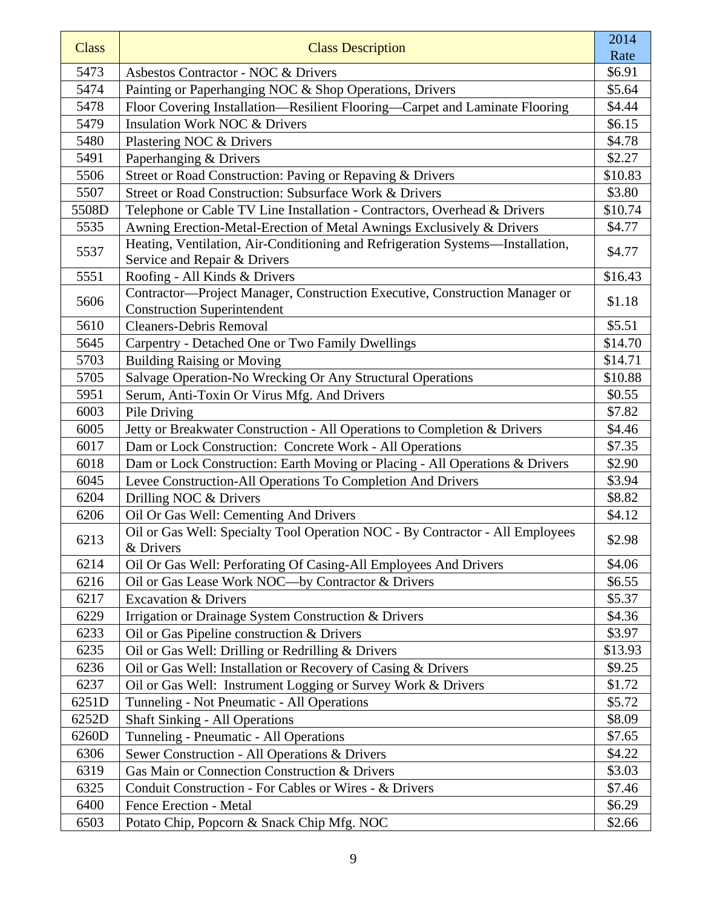| <b>Class</b> | <b>Class Description</b>                                                                                          | 2014    |
|--------------|-------------------------------------------------------------------------------------------------------------------|---------|
|              |                                                                                                                   | Rate    |
| 5473         | Asbestos Contractor - NOC & Drivers                                                                               | \$6.91  |
| 5474         | Painting or Paperhanging NOC & Shop Operations, Drivers                                                           | \$5.64  |
| 5478         | Floor Covering Installation-Resilient Flooring-Carpet and Laminate Flooring                                       | \$4.44  |
| 5479         | <b>Insulation Work NOC &amp; Drivers</b>                                                                          | \$6.15  |
| 5480         | Plastering NOC & Drivers                                                                                          | \$4.78  |
| 5491         | Paperhanging & Drivers                                                                                            | \$2.27  |
| 5506         | Street or Road Construction: Paving or Repaving & Drivers                                                         | \$10.83 |
| 5507         | Street or Road Construction: Subsurface Work & Drivers                                                            | \$3.80  |
| 5508D        | Telephone or Cable TV Line Installation - Contractors, Overhead & Drivers                                         | \$10.74 |
| 5535         | Awning Erection-Metal-Erection of Metal Awnings Exclusively & Drivers                                             | \$4.77  |
| 5537         | Heating, Ventilation, Air-Conditioning and Refrigeration Systems-Installation,<br>Service and Repair & Drivers    | \$4.77  |
| 5551         | Roofing - All Kinds & Drivers                                                                                     | \$16.43 |
| 5606         | Contractor-Project Manager, Construction Executive, Construction Manager or<br><b>Construction Superintendent</b> | \$1.18  |
| 5610         | <b>Cleaners-Debris Removal</b>                                                                                    | \$5.51  |
| 5645         | Carpentry - Detached One or Two Family Dwellings                                                                  | \$14.70 |
| 5703         | <b>Building Raising or Moving</b>                                                                                 | \$14.71 |
| 5705         | Salvage Operation-No Wrecking Or Any Structural Operations                                                        | \$10.88 |
| 5951         | Serum, Anti-Toxin Or Virus Mfg. And Drivers                                                                       | \$0.55  |
| 6003         | Pile Driving                                                                                                      | \$7.82  |
| 6005         | Jetty or Breakwater Construction - All Operations to Completion & Drivers                                         | \$4.46  |
| 6017         | Dam or Lock Construction: Concrete Work - All Operations                                                          | \$7.35  |
| 6018         | Dam or Lock Construction: Earth Moving or Placing - All Operations & Drivers                                      | \$2.90  |
| 6045         | Levee Construction-All Operations To Completion And Drivers                                                       | \$3.94  |
| 6204         | Drilling NOC & Drivers                                                                                            | \$8.82  |
| 6206         | Oil Or Gas Well: Cementing And Drivers                                                                            | \$4.12  |
| 6213         | Oil or Gas Well: Specialty Tool Operation NOC - By Contractor - All Employees<br>& Drivers                        | \$2.98  |
| 6214         | Oil Or Gas Well: Perforating Of Casing-All Employees And Drivers                                                  | \$4.06  |
| 6216         | Oil or Gas Lease Work NOC-by Contractor & Drivers                                                                 | \$6.55  |
| 6217         | <b>Excavation &amp; Drivers</b>                                                                                   | \$5.37  |
| 6229         | Irrigation or Drainage System Construction & Drivers                                                              | \$4.36  |
| 6233         | Oil or Gas Pipeline construction & Drivers                                                                        | \$3.97  |
| 6235         | Oil or Gas Well: Drilling or Redrilling & Drivers                                                                 | \$13.93 |
| 6236         | Oil or Gas Well: Installation or Recovery of Casing & Drivers                                                     | \$9.25  |
| 6237         | Oil or Gas Well: Instrument Logging or Survey Work & Drivers                                                      | \$1.72  |
| 6251D        | Tunneling - Not Pneumatic - All Operations                                                                        | \$5.72  |
| 6252D        | <b>Shaft Sinking - All Operations</b>                                                                             | \$8.09  |
| 6260D        | Tunneling - Pneumatic - All Operations                                                                            | \$7.65  |
| 6306         | Sewer Construction - All Operations & Drivers                                                                     | \$4.22  |
| 6319         | Gas Main or Connection Construction & Drivers                                                                     | \$3.03  |
| 6325         | Conduit Construction - For Cables or Wires - & Drivers                                                            | \$7.46  |
| 6400         | <b>Fence Erection - Metal</b>                                                                                     | \$6.29  |
| 6503         | Potato Chip, Popcorn & Snack Chip Mfg. NOC                                                                        | \$2.66  |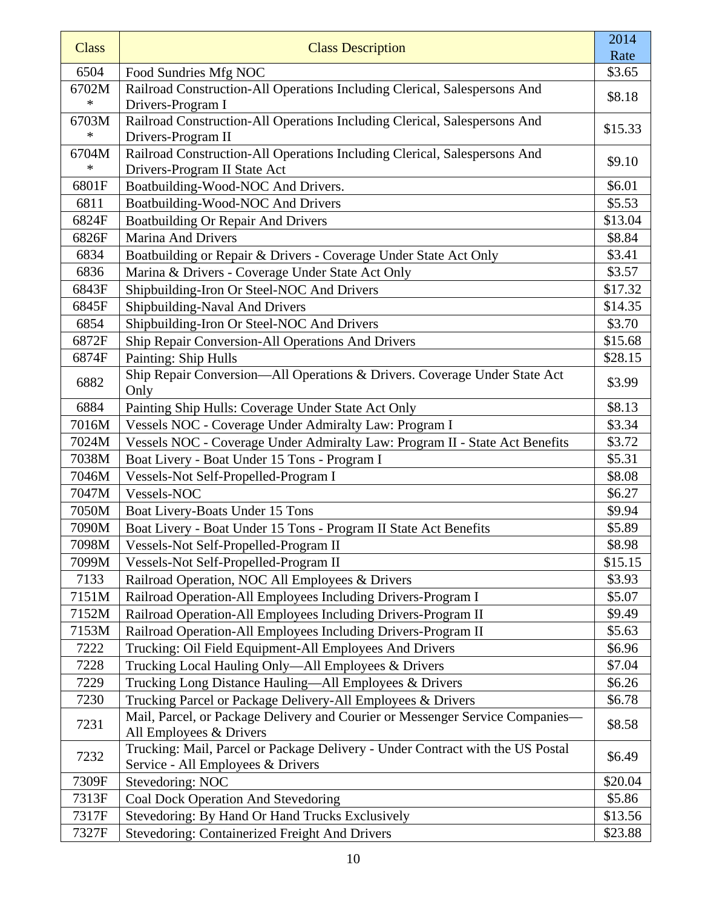| <b>Class</b>  | <b>Class Description</b>                                                                                            | 2014    |
|---------------|---------------------------------------------------------------------------------------------------------------------|---------|
|               |                                                                                                                     | Rate    |
| 6504<br>6702M | Food Sundries Mfg NOC<br>Railroad Construction-All Operations Including Clerical, Salespersons And                  | \$3.65  |
| $\ast$        | Drivers-Program I                                                                                                   | \$8.18  |
| 6703M         | Railroad Construction-All Operations Including Clerical, Salespersons And                                           |         |
| $\ast$        | Drivers-Program II                                                                                                  | \$15.33 |
| 6704M         | Railroad Construction-All Operations Including Clerical, Salespersons And                                           |         |
| $\ast$        | Drivers-Program II State Act                                                                                        | \$9.10  |
| 6801F         | Boatbuilding-Wood-NOC And Drivers.                                                                                  | \$6.01  |
| 6811          | Boatbuilding-Wood-NOC And Drivers                                                                                   | \$5.53  |
| 6824F         | <b>Boatbuilding Or Repair And Drivers</b>                                                                           | \$13.04 |
| 6826F         | <b>Marina And Drivers</b>                                                                                           | \$8.84  |
| 6834          | Boatbuilding or Repair & Drivers - Coverage Under State Act Only                                                    | \$3.41  |
| 6836          | Marina & Drivers - Coverage Under State Act Only                                                                    | \$3.57  |
| 6843F         | Shipbuilding-Iron Or Steel-NOC And Drivers                                                                          | \$17.32 |
| 6845F         | Shipbuilding-Naval And Drivers                                                                                      | \$14.35 |
| 6854          | Shipbuilding-Iron Or Steel-NOC And Drivers                                                                          | \$3.70  |
| 6872F         | Ship Repair Conversion-All Operations And Drivers                                                                   | \$15.68 |
| 6874F         | Painting: Ship Hulls                                                                                                | \$28.15 |
| 6882          | Ship Repair Conversion-All Operations & Drivers. Coverage Under State Act<br>Only                                   | \$3.99  |
| 6884          | Painting Ship Hulls: Coverage Under State Act Only                                                                  | \$8.13  |
| 7016M         | Vessels NOC - Coverage Under Admiralty Law: Program I                                                               | \$3.34  |
| 7024M         | Vessels NOC - Coverage Under Admiralty Law: Program II - State Act Benefits                                         | \$3.72  |
| 7038M         | Boat Livery - Boat Under 15 Tons - Program I                                                                        | \$5.31  |
| 7046M         | Vessels-Not Self-Propelled-Program I                                                                                | \$8.08  |
| 7047M         | Vessels-NOC                                                                                                         | \$6.27  |
| 7050M         | Boat Livery-Boats Under 15 Tons                                                                                     | \$9.94  |
| 7090M         | Boat Livery - Boat Under 15 Tons - Program II State Act Benefits                                                    | \$5.89  |
| 7098M         | Vessels-Not Self-Propelled-Program II                                                                               | \$8.98  |
| 7099M         | Vessels-Not Self-Propelled-Program II                                                                               | \$15.15 |
| 7133          | Railroad Operation, NOC All Employees & Drivers                                                                     | \$3.93  |
| 7151M         | Railroad Operation-All Employees Including Drivers-Program I                                                        | \$5.07  |
| 7152M         | Railroad Operation-All Employees Including Drivers-Program II                                                       | \$9.49  |
| 7153M         | Railroad Operation-All Employees Including Drivers-Program II                                                       | \$5.63  |
| 7222          | Trucking: Oil Field Equipment-All Employees And Drivers                                                             | \$6.96  |
| 7228          | Trucking Local Hauling Only—All Employees & Drivers                                                                 | \$7.04  |
| 7229          | Trucking Long Distance Hauling-All Employees & Drivers                                                              | \$6.26  |
| 7230          | Trucking Parcel or Package Delivery-All Employees & Drivers                                                         | \$6.78  |
| 7231          | Mail, Parcel, or Package Delivery and Courier or Messenger Service Companies-<br>All Employees & Drivers            | \$8.58  |
| 7232          | Trucking: Mail, Parcel or Package Delivery - Under Contract with the US Postal<br>Service - All Employees & Drivers | \$6.49  |
| 7309F         | Stevedoring: NOC                                                                                                    | \$20.04 |
| 7313F         | Coal Dock Operation And Stevedoring                                                                                 | \$5.86  |
| 7317F         | Stevedoring: By Hand Or Hand Trucks Exclusively                                                                     | \$13.56 |
| 7327F         | <b>Stevedoring: Containerized Freight And Drivers</b>                                                               | \$23.88 |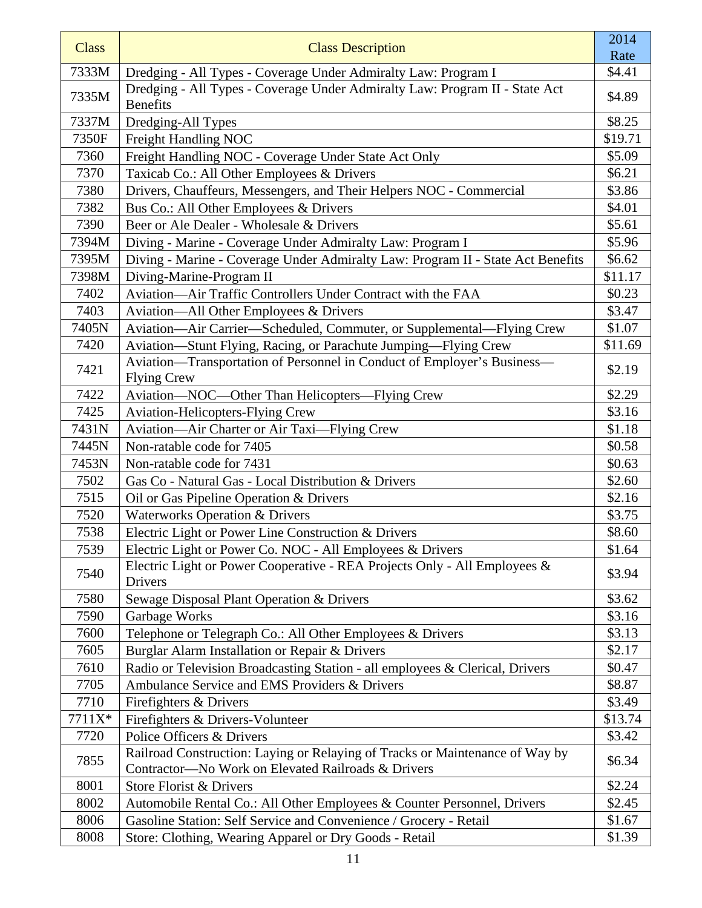| <b>Class</b> | <b>Class Description</b>                                                                                                           | 2014           |
|--------------|------------------------------------------------------------------------------------------------------------------------------------|----------------|
| 7333M        | Dredging - All Types - Coverage Under Admiralty Law: Program I                                                                     | Rate<br>\$4.41 |
|              | Dredging - All Types - Coverage Under Admiralty Law: Program II - State Act                                                        |                |
| 7335M        | <b>Benefits</b>                                                                                                                    | \$4.89         |
| 7337M        | Dredging-All Types                                                                                                                 | \$8.25         |
| 7350F        | Freight Handling NOC                                                                                                               | \$19.71        |
| 7360         | Freight Handling NOC - Coverage Under State Act Only                                                                               | \$5.09         |
| 7370         | Taxicab Co.: All Other Employees & Drivers                                                                                         | \$6.21         |
| 7380         | Drivers, Chauffeurs, Messengers, and Their Helpers NOC - Commercial                                                                | \$3.86         |
| 7382         | Bus Co.: All Other Employees & Drivers                                                                                             | \$4.01         |
| 7390         | Beer or Ale Dealer - Wholesale & Drivers                                                                                           | \$5.61         |
| 7394M        | Diving - Marine - Coverage Under Admiralty Law: Program I                                                                          | \$5.96         |
| 7395M        | Diving - Marine - Coverage Under Admiralty Law: Program II - State Act Benefits                                                    | \$6.62         |
| 7398M        | Diving-Marine-Program II                                                                                                           | \$11.17        |
| 7402         | Aviation-Air Traffic Controllers Under Contract with the FAA                                                                       | \$0.23         |
| 7403         | Aviation—All Other Employees & Drivers                                                                                             | \$3.47         |
| 7405N        | Aviation-Air Carrier-Scheduled, Commuter, or Supplemental-Flying Crew                                                              | \$1.07         |
| 7420         | Aviation—Stunt Flying, Racing, or Parachute Jumping—Flying Crew                                                                    | \$11.69        |
| 7421         | Aviation-Transportation of Personnel in Conduct of Employer's Business-<br><b>Flying Crew</b>                                      | \$2.19         |
| 7422         | Aviation-NOC-Other Than Helicopters-Flying Crew                                                                                    | \$2.29         |
| 7425         | <b>Aviation-Helicopters-Flying Crew</b>                                                                                            | \$3.16         |
| 7431N        | Aviation—Air Charter or Air Taxi—Flying Crew                                                                                       | \$1.18         |
| 7445N        | Non-ratable code for 7405                                                                                                          | \$0.58         |
| 7453N        | Non-ratable code for 7431                                                                                                          | \$0.63         |
| 7502         | Gas Co - Natural Gas - Local Distribution & Drivers                                                                                | \$2.60         |
| 7515         | Oil or Gas Pipeline Operation & Drivers                                                                                            | \$2.16         |
| 7520         | <b>Waterworks Operation &amp; Drivers</b>                                                                                          | \$3.75         |
| 7538         | Electric Light or Power Line Construction & Drivers                                                                                | \$8.60         |
| 7539         | Electric Light or Power Co. NOC - All Employees & Drivers                                                                          | \$1.64         |
|              | Electric Light or Power Cooperative - REA Projects Only - All Employees &                                                          | \$3.94         |
| 7540         | Drivers                                                                                                                            |                |
| 7580         | Sewage Disposal Plant Operation & Drivers                                                                                          | \$3.62         |
| 7590         | Garbage Works                                                                                                                      | \$3.16         |
| 7600         | Telephone or Telegraph Co.: All Other Employees & Drivers                                                                          | \$3.13         |
| 7605         | Burglar Alarm Installation or Repair & Drivers                                                                                     | \$2.17         |
| 7610         | Radio or Television Broadcasting Station - all employees & Clerical, Drivers                                                       | \$0.47         |
| 7705         | Ambulance Service and EMS Providers & Drivers                                                                                      | \$8.87         |
| 7710         | Firefighters & Drivers                                                                                                             | \$3.49         |
| 7711X*       | Firefighters & Drivers-Volunteer                                                                                                   | \$13.74        |
| 7720         | Police Officers & Drivers                                                                                                          | \$3.42         |
| 7855         | Railroad Construction: Laying or Relaying of Tracks or Maintenance of Way by<br>Contractor-No Work on Elevated Railroads & Drivers | \$6.34         |
| 8001         | Store Florist & Drivers                                                                                                            | \$2.24         |
| 8002         | Automobile Rental Co.: All Other Employees & Counter Personnel, Drivers                                                            | \$2.45         |
| 8006         | Gasoline Station: Self Service and Convenience / Grocery - Retail                                                                  | \$1.67         |
| 8008         | Store: Clothing, Wearing Apparel or Dry Goods - Retail                                                                             | \$1.39         |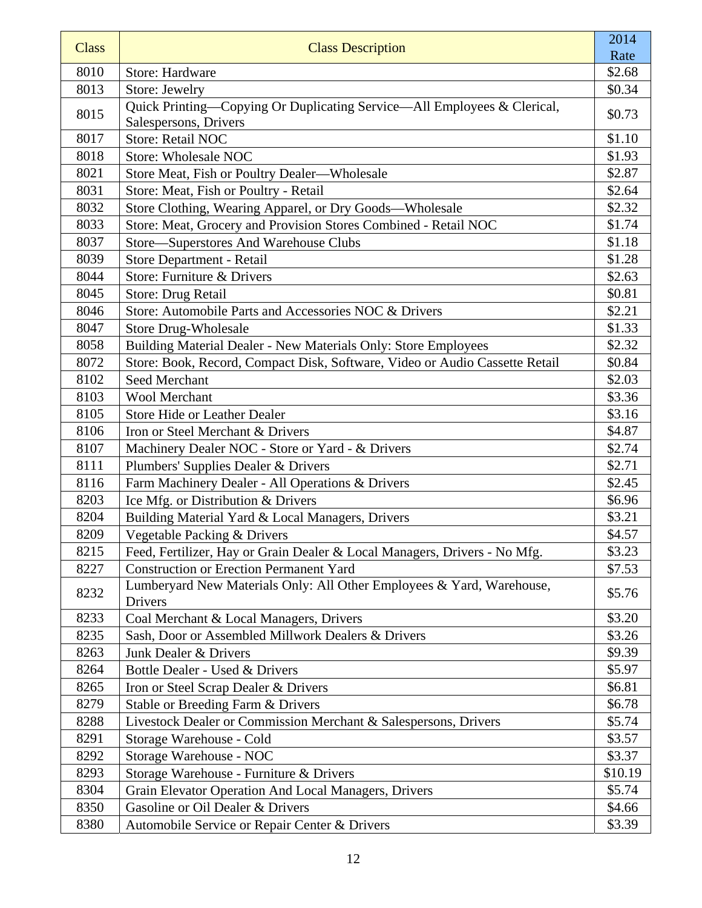| <b>Class</b> | <b>Class Description</b>                                                                         | 2014    |
|--------------|--------------------------------------------------------------------------------------------------|---------|
|              |                                                                                                  | Rate    |
| 8010         | Store: Hardware                                                                                  | \$2.68  |
| 8013         | Store: Jewelry                                                                                   | \$0.34  |
| 8015         | Quick Printing-Copying Or Duplicating Service-All Employees & Clerical,<br>Salespersons, Drivers | \$0.73  |
| 8017         | <b>Store: Retail NOC</b>                                                                         | \$1.10  |
| 8018         | <b>Store: Wholesale NOC</b>                                                                      | \$1.93  |
| 8021         | Store Meat, Fish or Poultry Dealer-Wholesale                                                     | \$2.87  |
| 8031         | Store: Meat, Fish or Poultry - Retail                                                            | \$2.64  |
| 8032         | Store Clothing, Wearing Apparel, or Dry Goods—Wholesale                                          | \$2.32  |
| 8033         | Store: Meat, Grocery and Provision Stores Combined - Retail NOC                                  | \$1.74  |
| 8037         | Store—Superstores And Warehouse Clubs                                                            | \$1.18  |
| 8039         | Store Department - Retail                                                                        | \$1.28  |
| 8044         | Store: Furniture & Drivers                                                                       | \$2.63  |
| 8045         | Store: Drug Retail                                                                               | \$0.81  |
| 8046         | Store: Automobile Parts and Accessories NOC & Drivers                                            | \$2.21  |
| 8047         | <b>Store Drug-Wholesale</b>                                                                      | \$1.33  |
| 8058         | Building Material Dealer - New Materials Only: Store Employees                                   | \$2.32  |
| 8072         | Store: Book, Record, Compact Disk, Software, Video or Audio Cassette Retail                      | \$0.84  |
| 8102         | <b>Seed Merchant</b>                                                                             | \$2.03  |
| 8103         | <b>Wool Merchant</b>                                                                             | \$3.36  |
| 8105         | <b>Store Hide or Leather Dealer</b>                                                              | \$3.16  |
| 8106         | Iron or Steel Merchant & Drivers                                                                 | \$4.87  |
| 8107         | Machinery Dealer NOC - Store or Yard - & Drivers                                                 | \$2.74  |
| 8111         | Plumbers' Supplies Dealer & Drivers                                                              | \$2.71  |
| 8116         | Farm Machinery Dealer - All Operations & Drivers                                                 | \$2.45  |
| 8203         | Ice Mfg. or Distribution & Drivers                                                               | \$6.96  |
| 8204         | Building Material Yard & Local Managers, Drivers                                                 | \$3.21  |
| 8209         | Vegetable Packing & Drivers                                                                      | \$4.57  |
| 8215         | Feed, Fertilizer, Hay or Grain Dealer & Local Managers, Drivers - No Mfg.                        | \$3.23  |
| 8227         | <b>Construction or Erection Permanent Yard</b>                                                   | \$7.53  |
| 8232         | Lumberyard New Materials Only: All Other Employees & Yard, Warehouse,<br>Drivers                 | \$5.76  |
| 8233         | Coal Merchant & Local Managers, Drivers                                                          | \$3.20  |
| 8235         | Sash, Door or Assembled Millwork Dealers & Drivers                                               | \$3.26  |
| 8263         | Junk Dealer & Drivers                                                                            | \$9.39  |
| 8264         | Bottle Dealer - Used & Drivers                                                                   | \$5.97  |
| 8265         | Iron or Steel Scrap Dealer & Drivers                                                             | \$6.81  |
| 8279         | Stable or Breeding Farm & Drivers                                                                | \$6.78  |
| 8288         | Livestock Dealer or Commission Merchant & Salespersons, Drivers                                  | \$5.74  |
| 8291         | Storage Warehouse - Cold                                                                         | \$3.57  |
| 8292         | Storage Warehouse - NOC                                                                          | \$3.37  |
| 8293         | Storage Warehouse - Furniture & Drivers                                                          | \$10.19 |
| 8304         | Grain Elevator Operation And Local Managers, Drivers                                             | \$5.74  |
| 8350         | Gasoline or Oil Dealer & Drivers                                                                 | \$4.66  |
| 8380         | Automobile Service or Repair Center & Drivers                                                    | \$3.39  |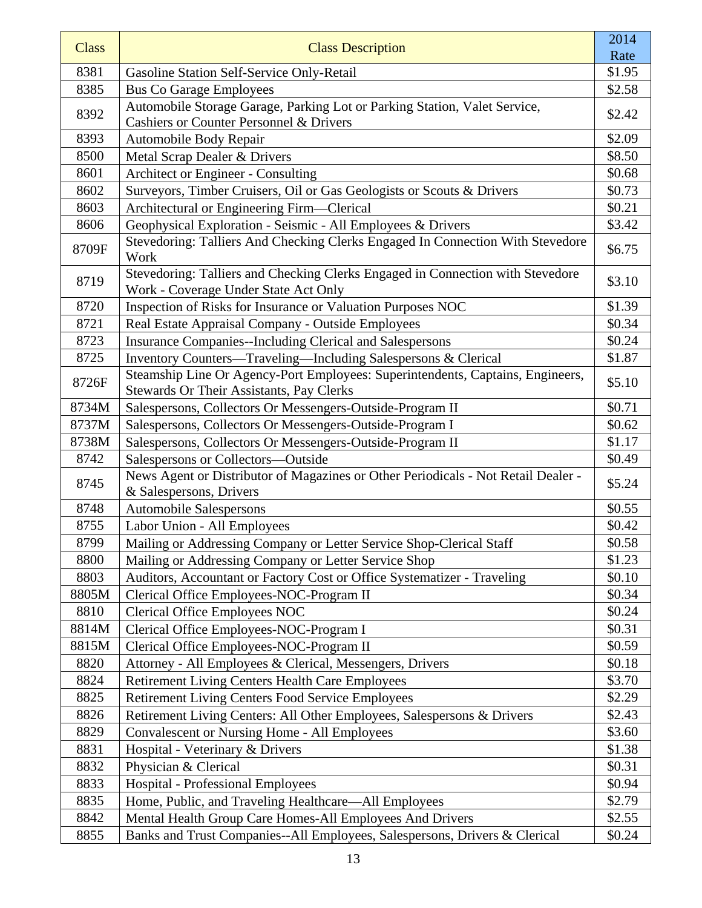| <b>Class</b> | <b>Class Description</b>                                                                                                        | 2014           |
|--------------|---------------------------------------------------------------------------------------------------------------------------------|----------------|
| 8381         | Gasoline Station Self-Service Only-Retail                                                                                       | Rate<br>\$1.95 |
| 8385         | <b>Bus Co Garage Employees</b>                                                                                                  | \$2.58         |
| 8392         | Automobile Storage Garage, Parking Lot or Parking Station, Valet Service,<br><b>Cashiers or Counter Personnel &amp; Drivers</b> | \$2.42         |
| 8393         | Automobile Body Repair                                                                                                          | \$2.09         |
| 8500         | Metal Scrap Dealer & Drivers                                                                                                    | \$8.50         |
| 8601         | Architect or Engineer - Consulting                                                                                              | \$0.68         |
| 8602         | Surveyors, Timber Cruisers, Oil or Gas Geologists or Scouts & Drivers                                                           | \$0.73         |
| 8603         | Architectural or Engineering Firm—Clerical                                                                                      | \$0.21         |
| 8606         | Geophysical Exploration - Seismic - All Employees & Drivers                                                                     | \$3.42         |
| 8709F        | Stevedoring: Talliers And Checking Clerks Engaged In Connection With Stevedore<br>Work                                          | \$6.75         |
| 8719         | Stevedoring: Talliers and Checking Clerks Engaged in Connection with Stevedore<br>Work - Coverage Under State Act Only          | \$3.10         |
| 8720         | Inspection of Risks for Insurance or Valuation Purposes NOC                                                                     | \$1.39         |
| 8721         | Real Estate Appraisal Company - Outside Employees                                                                               | \$0.34         |
| 8723         | <b>Insurance Companies--Including Clerical and Salespersons</b>                                                                 | \$0.24         |
| 8725         | Inventory Counters—Traveling—Including Salespersons & Clerical                                                                  | \$1.87         |
| 8726F        | Steamship Line Or Agency-Port Employees: Superintendents, Captains, Engineers,<br>Stewards Or Their Assistants, Pay Clerks      | \$5.10         |
| 8734M        | Salespersons, Collectors Or Messengers-Outside-Program II                                                                       | \$0.71         |
| 8737M        | Salespersons, Collectors Or Messengers-Outside-Program I                                                                        | \$0.62         |
| 8738M        | Salespersons, Collectors Or Messengers-Outside-Program II                                                                       | \$1.17         |
| 8742         | Salespersons or Collectors-Outside                                                                                              | \$0.49         |
| 8745         | News Agent or Distributor of Magazines or Other Periodicals - Not Retail Dealer -<br>& Salespersons, Drivers                    | \$5.24         |
| 8748         | <b>Automobile Salespersons</b>                                                                                                  | \$0.55         |
| 8755         | Labor Union - All Employees                                                                                                     | \$0.42         |
| 8799         | Mailing or Addressing Company or Letter Service Shop-Clerical Staff                                                             | \$0.58         |
| 8800         | Mailing or Addressing Company or Letter Service Shop                                                                            | \$1.23         |
| 8803         | Auditors, Accountant or Factory Cost or Office Systematizer - Traveling                                                         | \$0.10         |
| 8805M        | Clerical Office Employees-NOC-Program II                                                                                        | \$0.34         |
| 8810         | <b>Clerical Office Employees NOC</b>                                                                                            | \$0.24         |
| 8814M        | Clerical Office Employees-NOC-Program I                                                                                         | \$0.31         |
| 8815M        | Clerical Office Employees-NOC-Program II                                                                                        | \$0.59         |
| 8820         | Attorney - All Employees & Clerical, Messengers, Drivers                                                                        | \$0.18         |
| 8824         | <b>Retirement Living Centers Health Care Employees</b>                                                                          | \$3.70         |
| 8825         | Retirement Living Centers Food Service Employees                                                                                | \$2.29         |
| 8826         | Retirement Living Centers: All Other Employees, Salespersons & Drivers                                                          | \$2.43         |
| 8829         | <b>Convalescent or Nursing Home - All Employees</b>                                                                             | \$3.60         |
| 8831         | Hospital - Veterinary & Drivers                                                                                                 | \$1.38         |
| 8832         | Physician & Clerical                                                                                                            | \$0.31         |
| 8833         | Hospital - Professional Employees                                                                                               | \$0.94         |
| 8835         | Home, Public, and Traveling Healthcare—All Employees                                                                            | \$2.79         |
| 8842         | Mental Health Group Care Homes-All Employees And Drivers                                                                        | \$2.55         |
| 8855         | Banks and Trust Companies--All Employees, Salespersons, Drivers & Clerical                                                      | \$0.24         |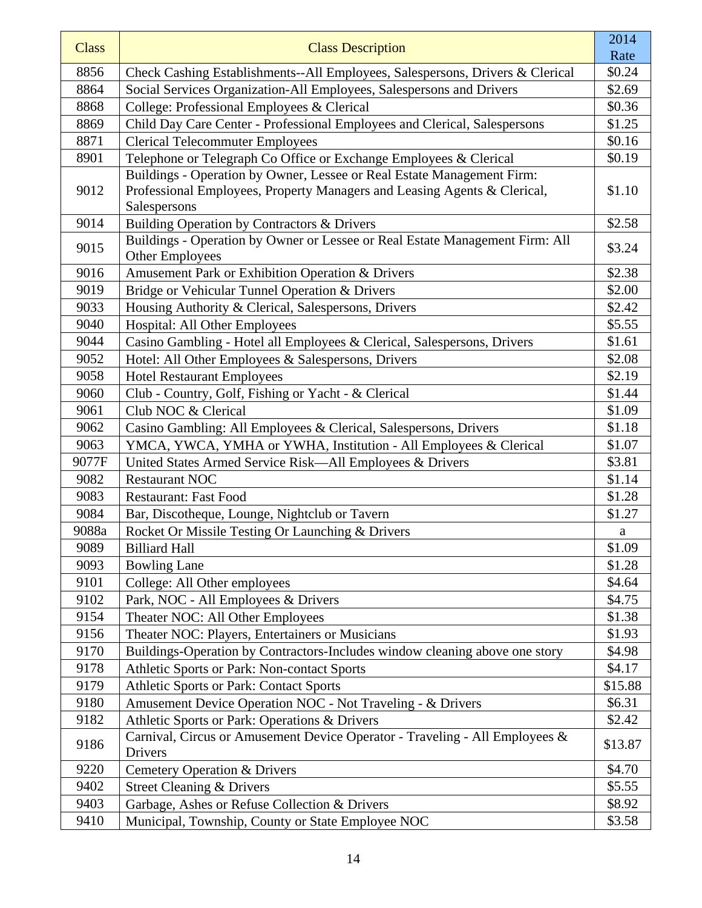| <b>Class</b> | <b>Class Description</b>                                                                                                                           | 2014    |
|--------------|----------------------------------------------------------------------------------------------------------------------------------------------------|---------|
|              |                                                                                                                                                    | Rate    |
| 8856         | Check Cashing Establishments--All Employees, Salespersons, Drivers & Clerical                                                                      | \$0.24  |
| 8864         | Social Services Organization-All Employees, Salespersons and Drivers                                                                               | \$2.69  |
| 8868         | College: Professional Employees & Clerical                                                                                                         | \$0.36  |
| 8869         | Child Day Care Center - Professional Employees and Clerical, Salespersons                                                                          | \$1.25  |
| 8871         | <b>Clerical Telecommuter Employees</b>                                                                                                             | \$0.16  |
| 8901         | Telephone or Telegraph Co Office or Exchange Employees & Clerical                                                                                  | \$0.19  |
| 9012         | Buildings - Operation by Owner, Lessee or Real Estate Management Firm:<br>Professional Employees, Property Managers and Leasing Agents & Clerical, | \$1.10  |
|              | Salespersons                                                                                                                                       |         |
| 9014         | Building Operation by Contractors & Drivers                                                                                                        | \$2.58  |
| 9015         | Buildings - Operation by Owner or Lessee or Real Estate Management Firm: All<br><b>Other Employees</b>                                             | \$3.24  |
| 9016         | Amusement Park or Exhibition Operation & Drivers                                                                                                   | \$2.38  |
| 9019         | Bridge or Vehicular Tunnel Operation & Drivers                                                                                                     | \$2.00  |
| 9033         | Housing Authority & Clerical, Salespersons, Drivers                                                                                                | \$2.42  |
| 9040         | Hospital: All Other Employees                                                                                                                      | \$5.55  |
| 9044         | Casino Gambling - Hotel all Employees & Clerical, Salespersons, Drivers                                                                            | \$1.61  |
| 9052         | Hotel: All Other Employees & Salespersons, Drivers                                                                                                 | \$2.08  |
| 9058         | <b>Hotel Restaurant Employees</b>                                                                                                                  | \$2.19  |
| 9060         | Club - Country, Golf, Fishing or Yacht - & Clerical                                                                                                | \$1.44  |
| 9061         | Club NOC & Clerical                                                                                                                                | \$1.09  |
| 9062         | Casino Gambling: All Employees & Clerical, Salespersons, Drivers                                                                                   | \$1.18  |
| 9063         | YMCA, YWCA, YMHA or YWHA, Institution - All Employees & Clerical                                                                                   | \$1.07  |
| 9077F        | United States Armed Service Risk—All Employees & Drivers                                                                                           | \$3.81  |
| 9082         | <b>Restaurant NOC</b>                                                                                                                              | \$1.14  |
| 9083         | <b>Restaurant: Fast Food</b>                                                                                                                       | \$1.28  |
| 9084         | Bar, Discotheque, Lounge, Nightclub or Tavern                                                                                                      | \$1.27  |
| 9088a        | Rocket Or Missile Testing Or Launching & Drivers                                                                                                   | a       |
| 9089         | <b>Billiard Hall</b>                                                                                                                               | \$1.09  |
| 9093         | <b>Bowling Lane</b>                                                                                                                                | \$1.28  |
| 9101         | College: All Other employees                                                                                                                       | \$4.64  |
| 9102         | Park, NOC - All Employees & Drivers                                                                                                                | \$4.75  |
| 9154         | Theater NOC: All Other Employees                                                                                                                   | \$1.38  |
| 9156         | Theater NOC: Players, Entertainers or Musicians                                                                                                    | \$1.93  |
| 9170         | Buildings-Operation by Contractors-Includes window cleaning above one story                                                                        | \$4.98  |
| 9178         | Athletic Sports or Park: Non-contact Sports                                                                                                        | \$4.17  |
| 9179         | Athletic Sports or Park: Contact Sports                                                                                                            | \$15.88 |
| 9180         | Amusement Device Operation NOC - Not Traveling - & Drivers                                                                                         | \$6.31  |
| 9182         | Athletic Sports or Park: Operations & Drivers                                                                                                      | \$2.42  |
| 9186         | Carnival, Circus or Amusement Device Operator - Traveling - All Employees &<br>Drivers                                                             | \$13.87 |
| 9220         | Cemetery Operation & Drivers                                                                                                                       | \$4.70  |
| 9402         | <b>Street Cleaning &amp; Drivers</b>                                                                                                               | \$5.55  |
| 9403         | Garbage, Ashes or Refuse Collection & Drivers                                                                                                      | \$8.92  |
| 9410         | Municipal, Township, County or State Employee NOC                                                                                                  | \$3.58  |